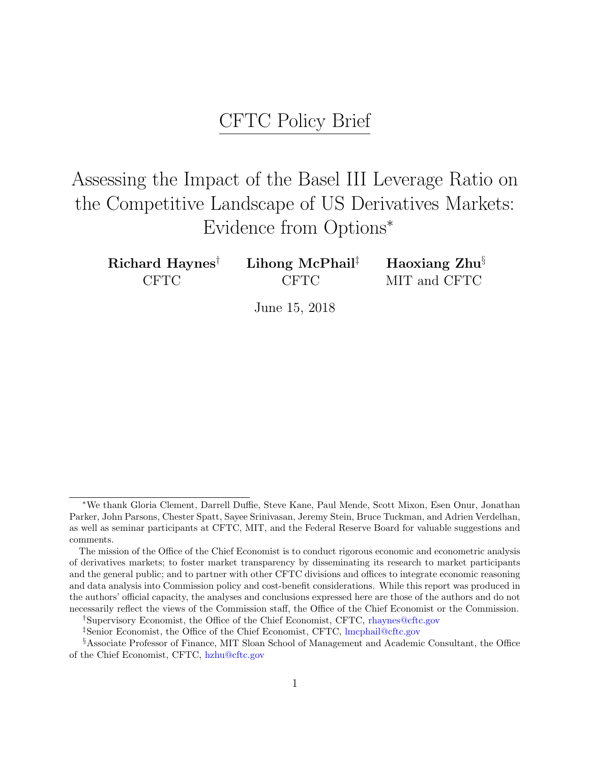## CFTC Policy Brief

# Assessing the Impact of the Basel III Leverage Ratio on the Competitive Landscape of US Derivatives Markets: Evidence from Options<sup>∗</sup>

| Richard Haynes <sup>†</sup> | Lihong McPhail <sup><math>\ddagger</math></sup> | Haoxiang $Zhu^{\S}$ |
|-----------------------------|-------------------------------------------------|---------------------|
| <b>CFTC</b>                 | <b>CFTC</b>                                     | MIT and CFTC        |

June 15, 2018

<sup>∗</sup>We thank Gloria Clement, Darrell Duffie, Steve Kane, Paul Mende, Scott Mixon, Esen Onur, Jonathan Parker, John Parsons, Chester Spatt, Sayee Srinivasan, Jeremy Stein, Bruce Tuckman, and Adrien Verdelhan, as well as seminar participants at CFTC, MIT, and the Federal Reserve Board for valuable suggestions and comments.

The mission of the Office of the Chief Economist is to conduct rigorous economic and econometric analysis of derivatives markets; to foster market transparency by disseminating its research to market participants and the general public; and to partner with other CFTC divisions and offices to integrate economic reasoning and data analysis into Commission policy and cost-benefit considerations. While this report was produced in the authors' official capacity, the analyses and conclusions expressed here are those of the authors and do not necessarily reflect the views of the Commission staff, the Office of the Chief Economist or the Commission.

<sup>†</sup>Supervisory Economist, the Office of the Chief Economist, CFTC, [rhaynes@cftc.gov](mailto:rhaynes@cftc.gov)

<sup>‡</sup>Senior Economist, the Office of the Chief Economist, CFTC, [lmcphail@cftc.gov](mailto:lmcphail@cftc.gov)

<sup>§</sup>Associate Professor of Finance, MIT Sloan School of Management and Academic Consultant, the Office of the Chief Economist, CFTC, [hzhu@cftc.gov](mailto:hzhu@cftc.gov)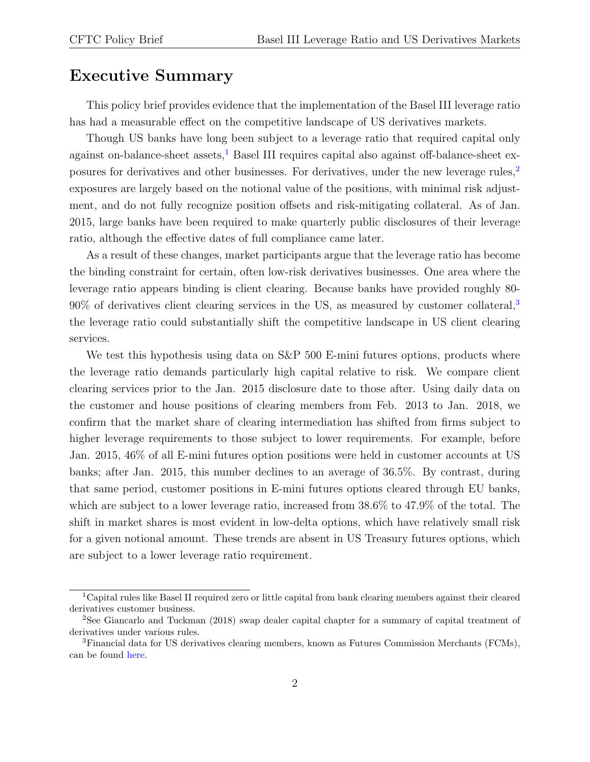#### Executive Summary

This policy brief provides evidence that the implementation of the Basel III leverage ratio has had a measurable effect on the competitive landscape of US derivatives markets.

Though US banks have long been subject to a leverage ratio that required capital only against on-balance-sheet assets,<sup>[1](#page-1-0)</sup> Basel III requires capital also against off-balance-sheet exposures for derivatives and other businesses. For derivatives, under the new leverage rules, $2\pi$  $2\pi$ exposures are largely based on the notional value of the positions, with minimal risk adjustment, and do not fully recognize position offsets and risk-mitigating collateral. As of Jan. 2015, large banks have been required to make quarterly public disclosures of their leverage ratio, although the effective dates of full compliance came later.

As a result of these changes, market participants argue that the leverage ratio has become the binding constraint for certain, often low-risk derivatives businesses. One area where the leverage ratio appears binding is client clearing. Because banks have provided roughly 80- 90% of derivatives client clearing services in the US, as measured by customer collateral,[3](#page-1-2) the leverage ratio could substantially shift the competitive landscape in US client clearing services.

We test this hypothesis using data on S&P 500 E-mini futures options, products where the leverage ratio demands particularly high capital relative to risk. We compare client clearing services prior to the Jan. 2015 disclosure date to those after. Using daily data on the customer and house positions of clearing members from Feb. 2013 to Jan. 2018, we confirm that the market share of clearing intermediation has shifted from firms subject to higher leverage requirements to those subject to lower requirements. For example, before Jan. 2015, 46% of all E-mini futures option positions were held in customer accounts at US banks; after Jan. 2015, this number declines to an average of 36.5%. By contrast, during that same period, customer positions in E-mini futures options cleared through EU banks, which are subject to a lower leverage ratio, increased from 38.6% to 47.9% of the total. The shift in market shares is most evident in low-delta options, which have relatively small risk for a given notional amount. These trends are absent in US Treasury futures options, which are subject to a lower leverage ratio requirement.

<span id="page-1-0"></span><sup>1</sup>Capital rules like Basel II required zero or little capital from bank clearing members against their cleared derivatives customer business.

<span id="page-1-1"></span><sup>2</sup>See Giancarlo and Tuckman (2018) swap dealer capital chapter for a summary of capital treatment of derivatives under various rules.

<span id="page-1-2"></span><sup>3</sup>Financial data for US derivatives clearing members, known as Futures Commission Merchants (FCMs), can be found [here.](http://www.cftc.gov/MarketReports/financialfcmdata/index.htm)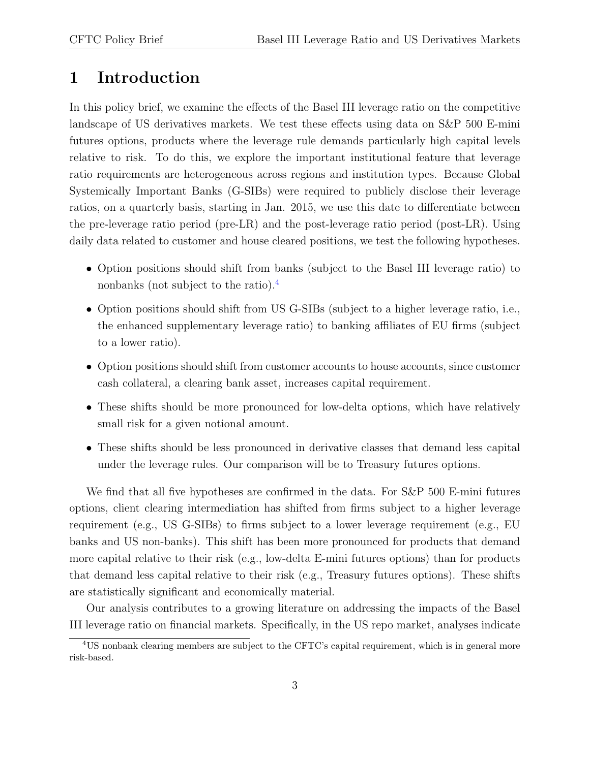## 1 Introduction

In this policy brief, we examine the effects of the Basel III leverage ratio on the competitive landscape of US derivatives markets. We test these effects using data on S&P 500 E-mini futures options, products where the leverage rule demands particularly high capital levels relative to risk. To do this, we explore the important institutional feature that leverage ratio requirements are heterogeneous across regions and institution types. Because Global Systemically Important Banks (G-SIBs) were required to publicly disclose their leverage ratios, on a quarterly basis, starting in Jan. 2015, we use this date to differentiate between the pre-leverage ratio period (pre-LR) and the post-leverage ratio period (post-LR). Using daily data related to customer and house cleared positions, we test the following hypotheses.

- Option positions should shift from banks (subject to the Basel III leverage ratio) to nonbanks (not subject to the ratio).[4](#page-2-0)
- Option positions should shift from US G-SIBs (subject to a higher leverage ratio, i.e., the enhanced supplementary leverage ratio) to banking affiliates of EU firms (subject to a lower ratio).
- Option positions should shift from customer accounts to house accounts, since customer cash collateral, a clearing bank asset, increases capital requirement.
- These shifts should be more pronounced for low-delta options, which have relatively small risk for a given notional amount.
- These shifts should be less pronounced in derivative classes that demand less capital under the leverage rules. Our comparison will be to Treasury futures options.

We find that all five hypotheses are confirmed in the data. For S&P 500 E-mini futures options, client clearing intermediation has shifted from firms subject to a higher leverage requirement (e.g., US G-SIBs) to firms subject to a lower leverage requirement (e.g., EU banks and US non-banks). This shift has been more pronounced for products that demand more capital relative to their risk (e.g., low-delta E-mini futures options) than for products that demand less capital relative to their risk (e.g., Treasury futures options). These shifts are statistically significant and economically material.

Our analysis contributes to a growing literature on addressing the impacts of the Basel III leverage ratio on financial markets. Specifically, in the US repo market, analyses indicate

<span id="page-2-0"></span><sup>&</sup>lt;sup>4</sup>US nonbank clearing members are subject to the CFTC's capital requirement, which is in general more risk-based.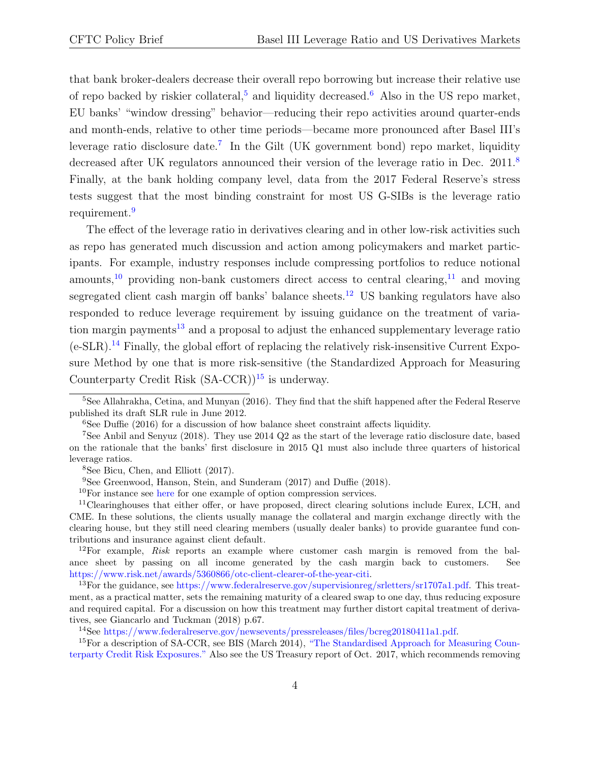that bank broker-dealers decrease their overall repo borrowing but increase their relative use of repo backed by riskier collateral,<sup>[5](#page-3-0)</sup> and liquidity decreased.<sup>[6](#page-3-1)</sup> Also in the US repo market, EU banks' "window dressing" behavior—reducing their repo activities around quarter-ends and month-ends, relative to other time periods—became more pronounced after Basel III's leverage ratio disclosure date.<sup>[7](#page-3-2)</sup> In the Gilt (UK government bond) repo market, liquidity decreased after UK regulators announced their version of the leverage ratio in Dec. 2011.<sup>[8](#page-3-3)</sup> Finally, at the bank holding company level, data from the 2017 Federal Reserve's stress tests suggest that the most binding constraint for most US G-SIBs is the leverage ratio requirement.<sup>[9](#page-3-4)</sup>

The effect of the leverage ratio in derivatives clearing and in other low-risk activities such as repo has generated much discussion and action among policymakers and market participants. For example, industry responses include compressing portfolios to reduce notional amounts,<sup>[10](#page-3-5)</sup> providing non-bank customers direct access to central clearing,<sup>[11](#page-3-6)</sup> and moving segregated client cash margin off banks' balance sheets.<sup>[12](#page-3-7)</sup> US banking regulators have also responded to reduce leverage requirement by issuing guidance on the treatment of varia-tion margin payments<sup>[13](#page-3-8)</sup> and a proposal to adjust the enhanced supplementary leverage ratio  $(e-SLR).$ <sup>[14](#page-3-9)</sup> Finally, the global effort of replacing the relatively risk-insensitive Current Exposure Method by one that is more risk-sensitive (the Standardized Approach for Measuring Counterparty Credit Risk  $(SA-CCR)$ <sup>[15](#page-3-10)</sup> is underway.

<span id="page-3-0"></span> $5$ See Allahrakha, Cetina, and Munyan (2016). They find that the shift happened after the Federal Reserve published its draft SLR rule in June 2012.

<span id="page-3-2"></span><span id="page-3-1"></span> $6$ See Duffie (2016) for a discussion of how balance sheet constraint affects liquidity.

<sup>7</sup>See Anbil and Senyuz (2018). They use 2014 Q2 as the start of the leverage ratio disclosure date, based on the rationale that the banks' first disclosure in 2015 Q1 must also include three quarters of historical leverage ratios.

<span id="page-3-3"></span><sup>8</sup>See Bicu, Chen, and Elliott (2017).

<span id="page-3-4"></span><sup>&</sup>lt;sup>9</sup>See Greenwood, Hanson, Stein, and Sunderam (2017) and Duffie (2018).

<span id="page-3-6"></span><span id="page-3-5"></span> $10$ For instance see [here](http://www.cboe.com/products/stock-index-options-spx-rut-msci-ftse/s-p-500-index-options/spx-options-compression-forum-files) for one example of option compression services.

<sup>&</sup>lt;sup>11</sup>Clearinghouses that either offer, or have proposed, direct clearing solutions include Eurex, LCH, and CME. In these solutions, the clients usually manage the collateral and margin exchange directly with the clearing house, but they still need clearing members (usually dealer banks) to provide guarantee fund contributions and insurance against client default.

<span id="page-3-7"></span><sup>&</sup>lt;sup>12</sup>For example, Risk reports an example where customer cash margin is removed from the balance sheet by passing on all income generated by the cash margin back to customers. See [https://www.risk.net/awards/5360866/otc-client-clearer-of-the-year-citi.](https://www.risk.net/awards/5360866/otc-client-clearer-of-the-year-citi)

<span id="page-3-8"></span><sup>&</sup>lt;sup>13</sup>For the guidance, see [https://www.federalreserve.gov/supervisionreg/srletters/sr1707a1.pdf.](https://www.federalreserve.gov/supervisionreg/srletters/sr1707a1.pdf) This treatment, as a practical matter, sets the remaining maturity of a cleared swap to one day, thus reducing exposure and required capital. For a discussion on how this treatment may further distort capital treatment of derivatives, see Giancarlo and Tuckman (2018) p.67.

<span id="page-3-10"></span><span id="page-3-9"></span><sup>14</sup>See [https://www.federalreserve.gov/newsevents/pressreleases/files/bcreg20180411a1.pdf.](https://www.federalreserve.gov/newsevents/pressreleases/files/bcreg20180411a1.pdf)

<sup>&</sup>lt;sup>15</sup>For a description of SA-CCR, see BIS (March 2014), "The [Standardised](https://www.bis.org/publ/bcbs279.htm) Approach for Measuring Counterparty Credit Risk [Exposures."](https://www.bis.org/publ/bcbs279.htm) Also see the US Treasury report of Oct. 2017, which recommends removing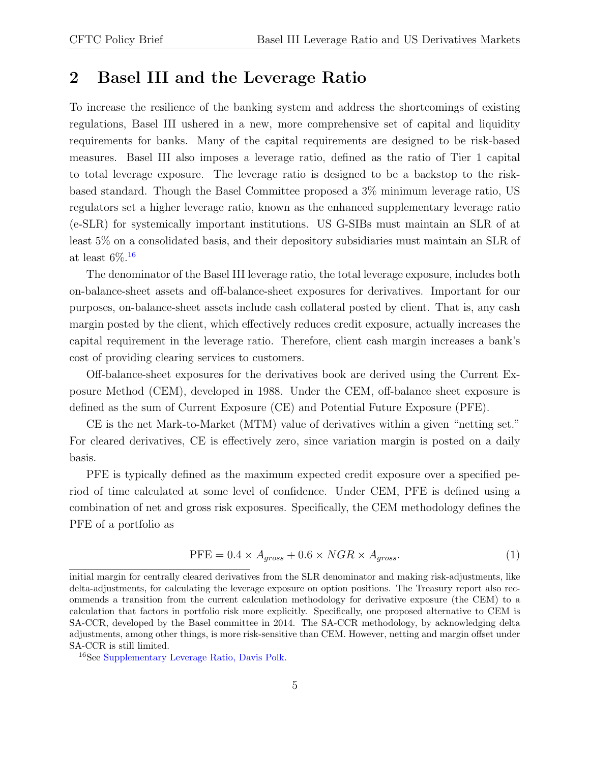## <span id="page-4-2"></span>2 Basel III and the Leverage Ratio

To increase the resilience of the banking system and address the shortcomings of existing regulations, Basel III ushered in a new, more comprehensive set of capital and liquidity requirements for banks. Many of the capital requirements are designed to be risk-based measures. Basel III also imposes a leverage ratio, defined as the ratio of Tier 1 capital to total leverage exposure. The leverage ratio is designed to be a backstop to the riskbased standard. Though the Basel Committee proposed a 3% minimum leverage ratio, US regulators set a higher leverage ratio, known as the enhanced supplementary leverage ratio (e-SLR) for systemically important institutions. US G-SIBs must maintain an SLR of at least 5% on a consolidated basis, and their depository subsidiaries must maintain an SLR of at least  $6\%$ .<sup>[16](#page-4-0)</sup>

The denominator of the Basel III leverage ratio, the total leverage exposure, includes both on-balance-sheet assets and off-balance-sheet exposures for derivatives. Important for our purposes, on-balance-sheet assets include cash collateral posted by client. That is, any cash margin posted by the client, which effectively reduces credit exposure, actually increases the capital requirement in the leverage ratio. Therefore, client cash margin increases a bank's cost of providing clearing services to customers.

Off-balance-sheet exposures for the derivatives book are derived using the Current Exposure Method (CEM), developed in 1988. Under the CEM, off-balance sheet exposure is defined as the sum of Current Exposure (CE) and Potential Future Exposure (PFE).

CE is the net Mark-to-Market (MTM) value of derivatives within a given "netting set." For cleared derivatives, CE is effectively zero, since variation margin is posted on a daily basis.

PFE is typically defined as the maximum expected credit exposure over a specified period of time calculated at some level of confidence. Under CEM, PFE is defined using a combination of net and gross risk exposures. Specifically, the CEM methodology defines the PFE of a portfolio as

<span id="page-4-1"></span>
$$
PFE = 0.4 \times A_{gross} + 0.6 \times NGR \times A_{gross}.
$$
 (1)

initial margin for centrally cleared derivatives from the SLR denominator and making risk-adjustments, like delta-adjustments, for calculating the leverage exposure on option positions. The Treasury report also recommends a transition from the current calculation methodology for derivative exposure (the CEM) to a calculation that factors in portfolio risk more explicitly. Specifically, one proposed alternative to CEM is SA-CCR, developed by the Basel committee in 2014. The SA-CCR methodology, by acknowledging delta adjustments, among other things, is more risk-sensitive than CEM. However, netting and margin offset under SA-CCR is still limited.

<span id="page-4-0"></span><sup>16</sup>See [Supplementary](https://www.davispolk.com/files/09.12.14.Supplementary_Leverage_Ratio.pdf) Leverage Ratio, Davis Polk.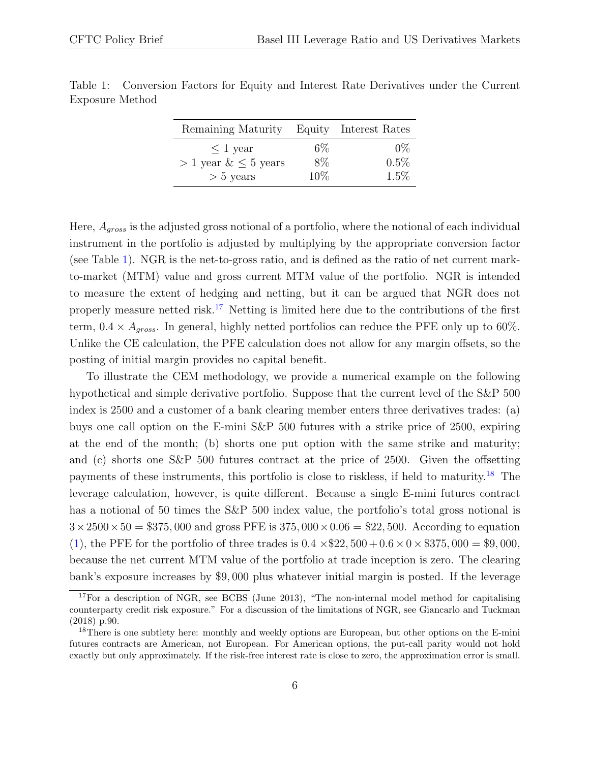| Remaining Maturity Equity Interest Rates |       |         |  |
|------------------------------------------|-------|---------|--|
| $\leq 1$ year                            | $6\%$ | $0\%$   |  |
| $> 1$ year $\& \leq 5$ years             | $8\%$ | $0.5\%$ |  |
| $> 5$ years                              | 10\%  | $1.5\%$ |  |

<span id="page-5-0"></span>Table 1: Conversion Factors for Equity and Interest Rate Derivatives under the Current Exposure Method

Here,  $A_{aross}$  is the adjusted gross notional of a portfolio, where the notional of each individual instrument in the portfolio is adjusted by multiplying by the appropriate conversion factor (see Table [1\)](#page-5-0). NGR is the net-to-gross ratio, and is defined as the ratio of net current markto-market (MTM) value and gross current MTM value of the portfolio. NGR is intended to measure the extent of hedging and netting, but it can be argued that NGR does not properly measure netted risk.<sup>[17](#page-5-1)</sup> Netting is limited here due to the contributions of the first term,  $0.4 \times A_{gross}$ . In general, highly netted portfolios can reduce the PFE only up to 60%. Unlike the CE calculation, the PFE calculation does not allow for any margin offsets, so the posting of initial margin provides no capital benefit.

To illustrate the CEM methodology, we provide a numerical example on the following hypothetical and simple derivative portfolio. Suppose that the current level of the S&P 500 index is 2500 and a customer of a bank clearing member enters three derivatives trades: (a) buys one call option on the E-mini S&P 500 futures with a strike price of 2500, expiring at the end of the month; (b) shorts one put option with the same strike and maturity; and (c) shorts one S&P 500 futures contract at the price of 2500. Given the offsetting payments of these instruments, this portfolio is close to riskless, if held to maturity.[18](#page-5-2) The leverage calculation, however, is quite different. Because a single E-mini futures contract has a notional of 50 times the S&P 500 index value, the portfolio's total gross notional is  $3 \times 2500 \times 50 = $375,000$  and gross PFE is  $375,000 \times 0.06 = $22,500$ . According to equation [\(1\)](#page-4-1), the PFE for the portfolio of three trades is  $0.4 \times $22,500+0.6 \times 0 \times $375,000 = $9,000$ , because the net current MTM value of the portfolio at trade inception is zero. The clearing bank's exposure increases by \$9, 000 plus whatever initial margin is posted. If the leverage

<span id="page-5-1"></span><sup>&</sup>lt;sup>17</sup>For a description of NGR, see BCBS (June 2013), "The non-internal model method for capitalising counterparty credit risk exposure." For a discussion of the limitations of NGR, see Giancarlo and Tuckman (2018) p.90.

<span id="page-5-2"></span><sup>&</sup>lt;sup>18</sup>There is one subtlety here: monthly and weekly options are European, but other options on the E-mini futures contracts are American, not European. For American options, the put-call parity would not hold exactly but only approximately. If the risk-free interest rate is close to zero, the approximation error is small.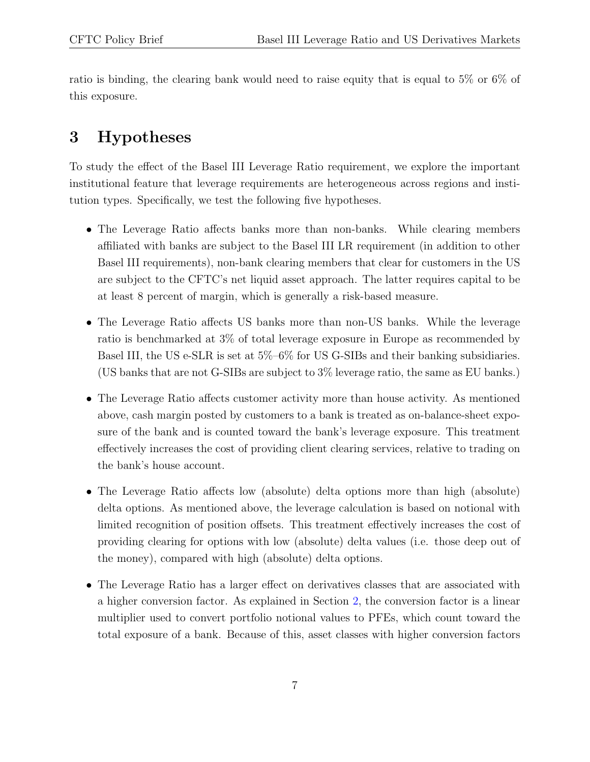ratio is binding, the clearing bank would need to raise equity that is equal to 5% or 6% of this exposure.

## <span id="page-6-0"></span>3 Hypotheses

To study the effect of the Basel III Leverage Ratio requirement, we explore the important institutional feature that leverage requirements are heterogeneous across regions and institution types. Specifically, we test the following five hypotheses.

- The Leverage Ratio affects banks more than non-banks. While clearing members affiliated with banks are subject to the Basel III LR requirement (in addition to other Basel III requirements), non-bank clearing members that clear for customers in the US are subject to the CFTC's net liquid asset approach. The latter requires capital to be at least 8 percent of margin, which is generally a risk-based measure.
- The Leverage Ratio affects US banks more than non-US banks. While the leverage ratio is benchmarked at 3% of total leverage exposure in Europe as recommended by Basel III, the US e-SLR is set at 5%–6% for US G-SIBs and their banking subsidiaries. (US banks that are not G-SIBs are subject to 3% leverage ratio, the same as EU banks.)
- The Leverage Ratio affects customer activity more than house activity. As mentioned above, cash margin posted by customers to a bank is treated as on-balance-sheet exposure of the bank and is counted toward the bank's leverage exposure. This treatment effectively increases the cost of providing client clearing services, relative to trading on the bank's house account.
- The Leverage Ratio affects low (absolute) delta options more than high (absolute) delta options. As mentioned above, the leverage calculation is based on notional with limited recognition of position offsets. This treatment effectively increases the cost of providing clearing for options with low (absolute) delta values (i.e. those deep out of the money), compared with high (absolute) delta options.
- The Leverage Ratio has a larger effect on derivatives classes that are associated with a higher conversion factor. As explained in Section [2,](#page-4-2) the conversion factor is a linear multiplier used to convert portfolio notional values to PFEs, which count toward the total exposure of a bank. Because of this, asset classes with higher conversion factors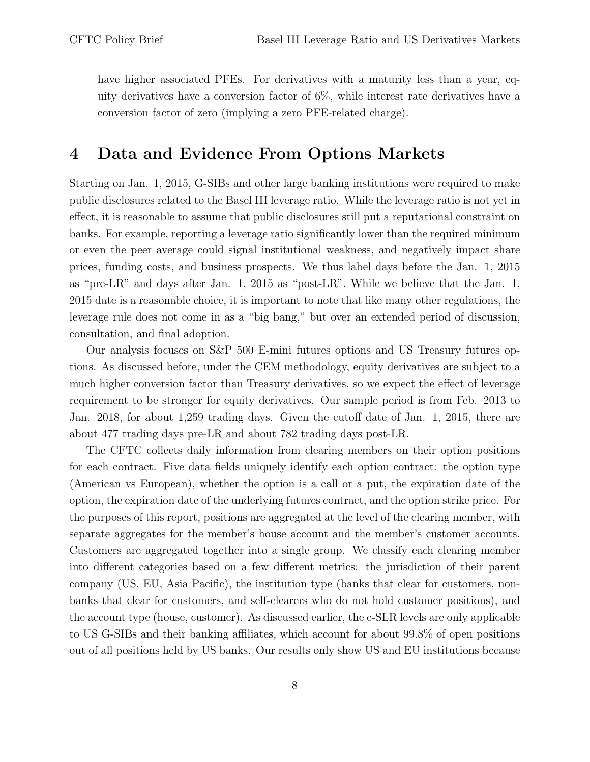have higher associated PFEs. For derivatives with a maturity less than a year, equity derivatives have a conversion factor of 6%, while interest rate derivatives have a conversion factor of zero (implying a zero PFE-related charge).

#### 4 Data and Evidence From Options Markets

Starting on Jan. 1, 2015, G-SIBs and other large banking institutions were required to make public disclosures related to the Basel III leverage ratio. While the leverage ratio is not yet in effect, it is reasonable to assume that public disclosures still put a reputational constraint on banks. For example, reporting a leverage ratio significantly lower than the required minimum or even the peer average could signal institutional weakness, and negatively impact share prices, funding costs, and business prospects. We thus label days before the Jan. 1, 2015 as "pre-LR" and days after Jan. 1, 2015 as "post-LR". While we believe that the Jan. 1, 2015 date is a reasonable choice, it is important to note that like many other regulations, the leverage rule does not come in as a "big bang," but over an extended period of discussion, consultation, and final adoption.

Our analysis focuses on S&P 500 E-mini futures options and US Treasury futures options. As discussed before, under the CEM methodology, equity derivatives are subject to a much higher conversion factor than Treasury derivatives, so we expect the effect of leverage requirement to be stronger for equity derivatives. Our sample period is from Feb. 2013 to Jan. 2018, for about 1,259 trading days. Given the cutoff date of Jan. 1, 2015, there are about 477 trading days pre-LR and about 782 trading days post-LR.

The CFTC collects daily information from clearing members on their option positions for each contract. Five data fields uniquely identify each option contract: the option type (American vs European), whether the option is a call or a put, the expiration date of the option, the expiration date of the underlying futures contract, and the option strike price. For the purposes of this report, positions are aggregated at the level of the clearing member, with separate aggregates for the member's house account and the member's customer accounts. Customers are aggregated together into a single group. We classify each clearing member into different categories based on a few different metrics: the jurisdiction of their parent company (US, EU, Asia Pacific), the institution type (banks that clear for customers, nonbanks that clear for customers, and self-clearers who do not hold customer positions), and the account type (house, customer). As discussed earlier, the e-SLR levels are only applicable to US G-SIBs and their banking affiliates, which account for about 99.8% of open positions out of all positions held by US banks. Our results only show US and EU institutions because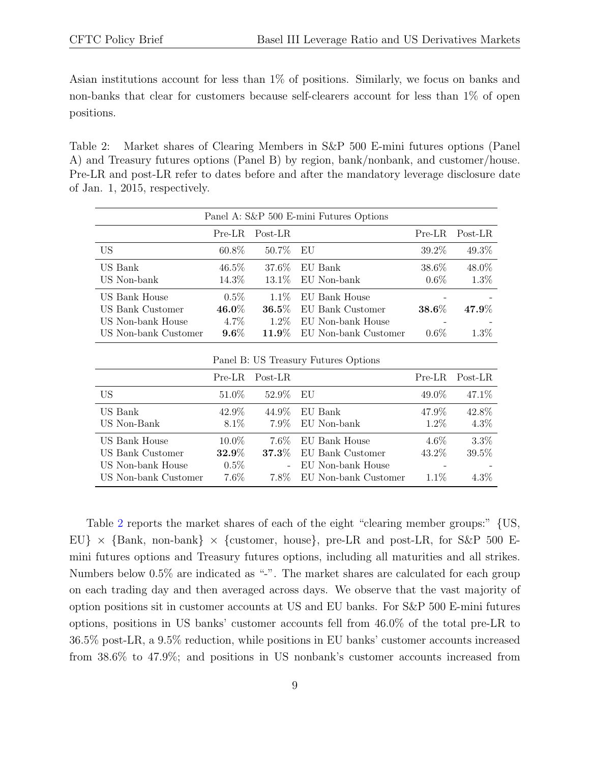Asian institutions account for less than 1% of positions. Similarly, we focus on banks and non-banks that clear for customers because self-clearers account for less than 1% of open positions.

<span id="page-8-0"></span>Table 2: Market shares of Clearing Members in S&P 500 E-mini futures options (Panel A) and Treasury futures options (Panel B) by region, bank/nonbank, and customer/house. Pre-LR and post-LR refer to dates before and after the mandatory leverage disclosure date of Jan. 1, 2015, respectively.

| Panel A: S&P 500 E-mini Futures Options |          |                       |                      |          |          |  |  |  |  |
|-----------------------------------------|----------|-----------------------|----------------------|----------|----------|--|--|--|--|
|                                         | Pre-LR   | Post-LR               |                      | $Pre-LR$ | Post-LR  |  |  |  |  |
| US                                      | $60.8\%$ | 50.7\%                | EU                   | 39.2%    | 49.3%    |  |  |  |  |
| US Bank                                 | $46.5\%$ | 37.6%                 | EU Bank              | 38.6%    | 48.0%    |  |  |  |  |
| US Non-bank                             | 14.3%    | $13.1\%$              | EU Non-bank          | $0.6\%$  | 1.3%     |  |  |  |  |
| US Bank House                           | $0.5\%$  | $1.1\%$               | EU Bank House        |          |          |  |  |  |  |
| US Bank Customer                        | $46.0\%$ | $\boldsymbol{36.5\%}$ | EU Bank Customer     | 38.6%    | $47.9\%$ |  |  |  |  |
| US Non-bank House                       | 4.7%     | $1.2\%$               | EU Non-bank House    |          |          |  |  |  |  |
| US Non-bank Customer                    | $9.6\%$  | $11.9\%$              | EU Non-bank Customer | $0.6\%$  | $1.3\%$  |  |  |  |  |
| Panel B: US Treasury Futures Options    |          |                       |                      |          |          |  |  |  |  |
|                                         | $Pre-LR$ | Post-LR               |                      | $Pre-LR$ | Post-LR  |  |  |  |  |
| US                                      | $51.0\%$ | 52.9%                 | EU                   | 49.0\%   | 47.1%    |  |  |  |  |
| US Bank                                 | 42.9%    | 44.9%                 | EU Bank              | 47.9%    | 42.8%    |  |  |  |  |
| US Non-Bank                             | $8.1\%$  | $7.9\%$               | EU Non-bank          | $1.2\%$  | $4.3\%$  |  |  |  |  |

US Bank House  $10.0\%$   $7.6\%$  EU Bank House  $4.6\%$   $3.3\%$ US Bank Customer 32.9% 37.3% EU Bank Customer 43.2% 39.5%

US Non-bank Customer 7.6% 7.8% EU Non-bank Customer 1.1% 4.3%

US Non-bank House  $0.5\%$  - EU Non-bank House

Table [2](#page-8-0) reports the market shares of each of the eight "clearing member groups:" {US, EU}  $\times$  {Bank, non-bank}  $\times$  {customer, house}, pre-LR and post-LR, for S&P 500 Emini futures options and Treasury futures options, including all maturities and all strikes. Numbers below  $0.5\%$  are indicated as "-". The market shares are calculated for each group on each trading day and then averaged across days. We observe that the vast majority of option positions sit in customer accounts at US and EU banks. For S&P 500 E-mini futures options, positions in US banks' customer accounts fell from 46.0% of the total pre-LR to 36.5% post-LR, a 9.5% reduction, while positions in EU banks' customer accounts increased from 38.6% to 47.9%; and positions in US nonbank's customer accounts increased from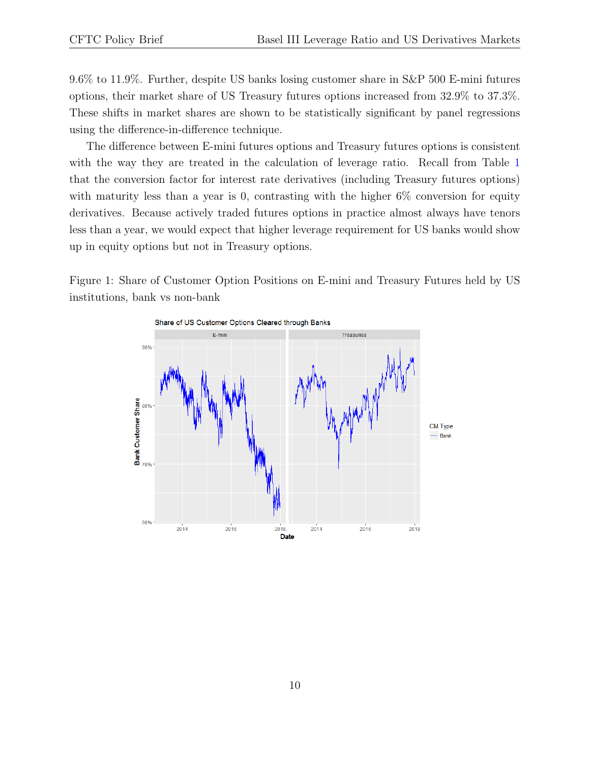9.6% to 11.9%. Further, despite US banks losing customer share in S&P 500 E-mini futures options, their market share of US Treasury futures options increased from 32.9% to 37.3%. These shifts in market shares are shown to be statistically significant by panel regressions using the difference-in-difference technique.

The difference between E-mini futures options and Treasury futures options is consistent with the way they are treated in the calculation of leverage ratio. Recall from Table [1](#page-5-0) that the conversion factor for interest rate derivatives (including Treasury futures options) with maturity less than a year is 0, contrasting with the higher  $6\%$  conversion for equity derivatives. Because actively traded futures options in practice almost always have tenors less than a year, we would expect that higher leverage requirement for US banks would show up in equity options but not in Treasury options.

<span id="page-9-0"></span>Figure 1: Share of Customer Option Positions on E-mini and Treasury Futures held by US institutions, bank vs non-bank

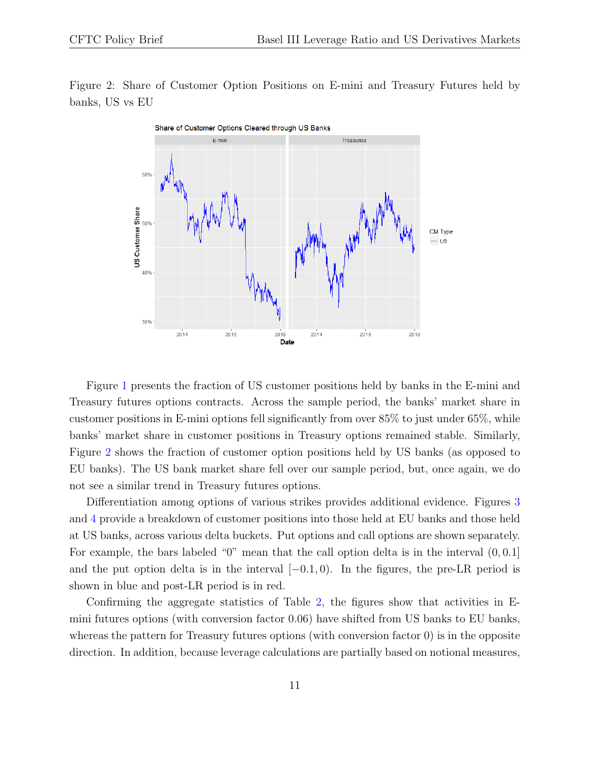<span id="page-10-0"></span>Figure 2: Share of Customer Option Positions on E-mini and Treasury Futures held by banks, US vs EU



Figure [1](#page-9-0) presents the fraction of US customer positions held by banks in the E-mini and Treasury futures options contracts. Across the sample period, the banks' market share in customer positions in E-mini options fell significantly from over 85% to just under 65%, while banks' market share in customer positions in Treasury options remained stable. Similarly, Figure [2](#page-10-0) shows the fraction of customer option positions held by US banks (as opposed to EU banks). The US bank market share fell over our sample period, but, once again, we do not see a similar trend in Treasury futures options.

Differentiation among options of various strikes provides additional evidence. Figures [3](#page-11-0) and [4](#page-12-0) provide a breakdown of customer positions into those held at EU banks and those held at US banks, across various delta buckets. Put options and call options are shown separately. For example, the bars labeled "0" mean that the call option delta is in the interval (0, 0.1] and the put option delta is in the interval  $[-0.1, 0)$ . In the figures, the pre-LR period is shown in blue and post-LR period is in red.

Confirming the aggregate statistics of Table [2,](#page-8-0) the figures show that activities in Emini futures options (with conversion factor 0.06) have shifted from US banks to EU banks, whereas the pattern for Treasury futures options (with conversion factor 0) is in the opposite direction. In addition, because leverage calculations are partially based on notional measures,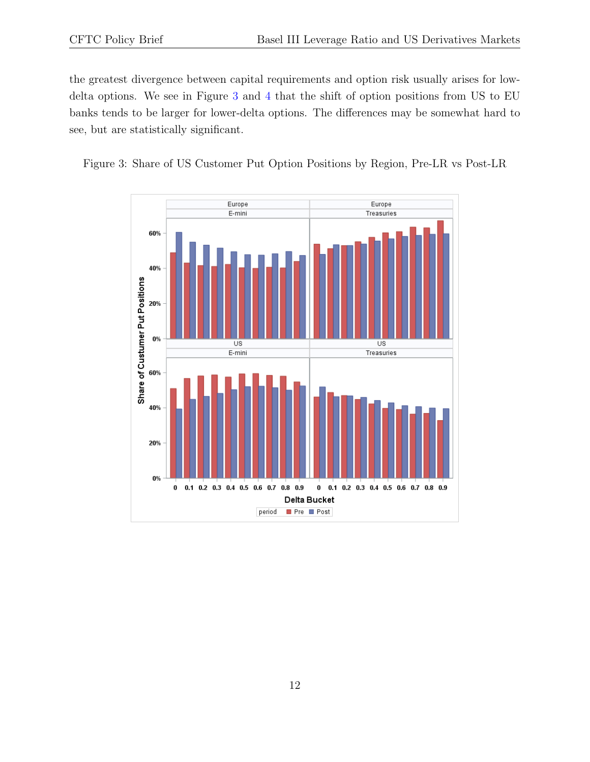the greatest divergence between capital requirements and option risk usually arises for lowdelta options. We see in Figure [3](#page-11-0) and [4](#page-12-0) that the shift of option positions from US to EU banks tends to be larger for lower-delta options. The differences may be somewhat hard to see, but are statistically significant.

<span id="page-11-0"></span>Figure 3: Share of US Customer Put Option Positions by Region, Pre-LR vs Post-LR

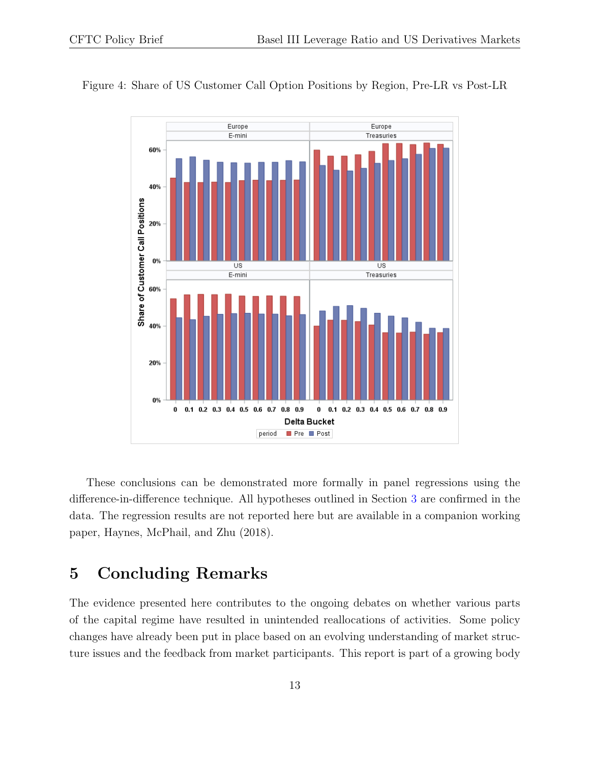

<span id="page-12-0"></span>Figure 4: Share of US Customer Call Option Positions by Region, Pre-LR vs Post-LR

These conclusions can be demonstrated more formally in panel regressions using the difference-in-difference technique. All hypotheses outlined in Section [3](#page-6-0) are confirmed in the data. The regression results are not reported here but are available in a companion working paper, Haynes, McPhail, and Zhu (2018).

#### 5 Concluding Remarks

The evidence presented here contributes to the ongoing debates on whether various parts of the capital regime have resulted in unintended reallocations of activities. Some policy changes have already been put in place based on an evolving understanding of market structure issues and the feedback from market participants. This report is part of a growing body